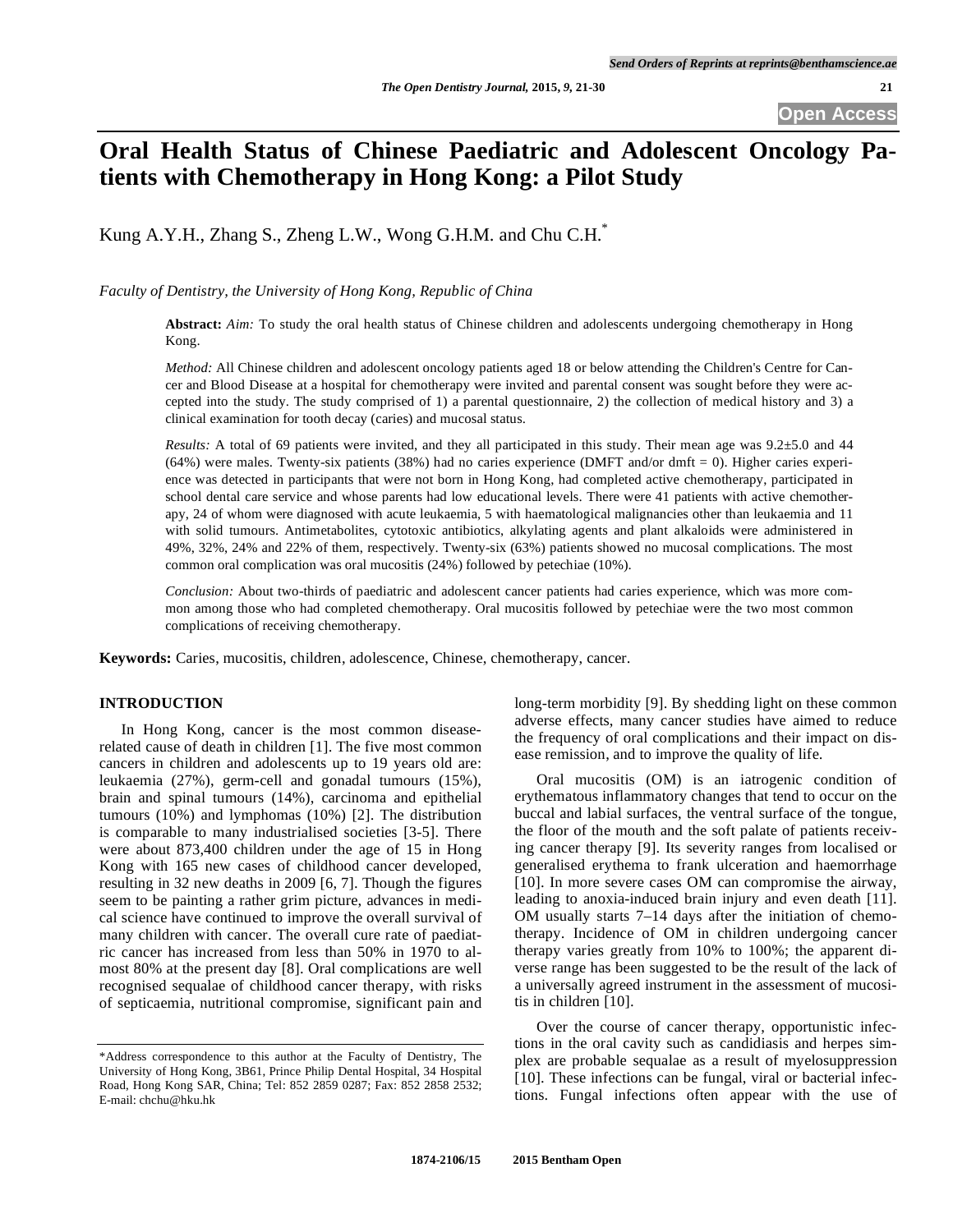# **Oral Health Status of Chinese Paediatric and Adolescent Oncology Patients with Chemotherapy in Hong Kong: a Pilot Study**

Kung A.Y.H., Zhang S., Zheng L.W., Wong G.H.M. and Chu C.H.\*

*Faculty of Dentistry, the University of Hong Kong, Republic of China* 

**Abstract:** *Aim:* To study the oral health status of Chinese children and adolescents undergoing chemotherapy in Hong Kong.

*Method:* All Chinese children and adolescent oncology patients aged 18 or below attending the Children's Centre for Cancer and Blood Disease at a hospital for chemotherapy were invited and parental consent was sought before they were accepted into the study. The study comprised of 1) a parental questionnaire, 2) the collection of medical history and 3) a clinical examination for tooth decay (caries) and mucosal status.

*Results:* A total of 69 patients were invited, and they all participated in this study. Their mean age was 9.2±5.0 and 44 (64%) were males. Twenty-six patients (38%) had no caries experience (DMFT and/or dmft = 0). Higher caries experience was detected in participants that were not born in Hong Kong, had completed active chemotherapy, participated in school dental care service and whose parents had low educational levels. There were 41 patients with active chemotherapy, 24 of whom were diagnosed with acute leukaemia, 5 with haematological malignancies other than leukaemia and 11 with solid tumours. Antimetabolites, cytotoxic antibiotics, alkylating agents and plant alkaloids were administered in 49%, 32%, 24% and 22% of them, respectively. Twenty-six (63%) patients showed no mucosal complications. The most common oral complication was oral mucositis (24%) followed by petechiae (10%).

*Conclusion:* About two-thirds of paediatric and adolescent cancer patients had caries experience, which was more common among those who had completed chemotherapy. Oral mucositis followed by petechiae were the two most common complications of receiving chemotherapy.

**Keywords:** Caries, mucositis, children, adolescence, Chinese, chemotherapy, cancer.

## **INTRODUCTION**

In Hong Kong, cancer is the most common diseaserelated cause of death in children [1]. The five most common cancers in children and adolescents up to 19 years old are: leukaemia (27%), germ-cell and gonadal tumours (15%), brain and spinal tumours (14%), carcinoma and epithelial tumours (10%) and lymphomas (10%) [2]. The distribution is comparable to many industrialised societies [3-5]. There were about 873,400 children under the age of 15 in Hong Kong with 165 new cases of childhood cancer developed, resulting in 32 new deaths in 2009 [6, 7]. Though the figures seem to be painting a rather grim picture, advances in medical science have continued to improve the overall survival of many children with cancer. The overall cure rate of paediatric cancer has increased from less than 50% in 1970 to almost 80% at the present day [8]. Oral complications are well recognised sequalae of childhood cancer therapy, with risks of septicaemia, nutritional compromise, significant pain and

long-term morbidity [9]. By shedding light on these common adverse effects, many cancer studies have aimed to reduce the frequency of oral complications and their impact on disease remission, and to improve the quality of life.

Oral mucositis (OM) is an iatrogenic condition of erythematous inflammatory changes that tend to occur on the buccal and labial surfaces, the ventral surface of the tongue, the floor of the mouth and the soft palate of patients receiving cancer therapy [9]. Its severity ranges from localised or generalised erythema to frank ulceration and haemorrhage [10]. In more severe cases OM can compromise the airway, leading to anoxia-induced brain injury and even death [11]. OM usually starts 7–14 days after the initiation of chemotherapy. Incidence of OM in children undergoing cancer therapy varies greatly from 10% to 100%; the apparent diverse range has been suggested to be the result of the lack of a universally agreed instrument in the assessment of mucositis in children [10].

Over the course of cancer therapy, opportunistic infections in the oral cavity such as candidiasis and herpes simplex are probable sequalae as a result of myelosuppression [10]. These infections can be fungal, viral or bacterial infections. Fungal infections often appear with the use of

<sup>\*</sup>Address correspondence to this author at the Faculty of Dentistry, The University of Hong Kong, 3B61, Prince Philip Dental Hospital, 34 Hospital Road, Hong Kong SAR, China; Tel: 852 2859 0287; Fax: 852 2858 2532; E-mail: chchu@hku.hk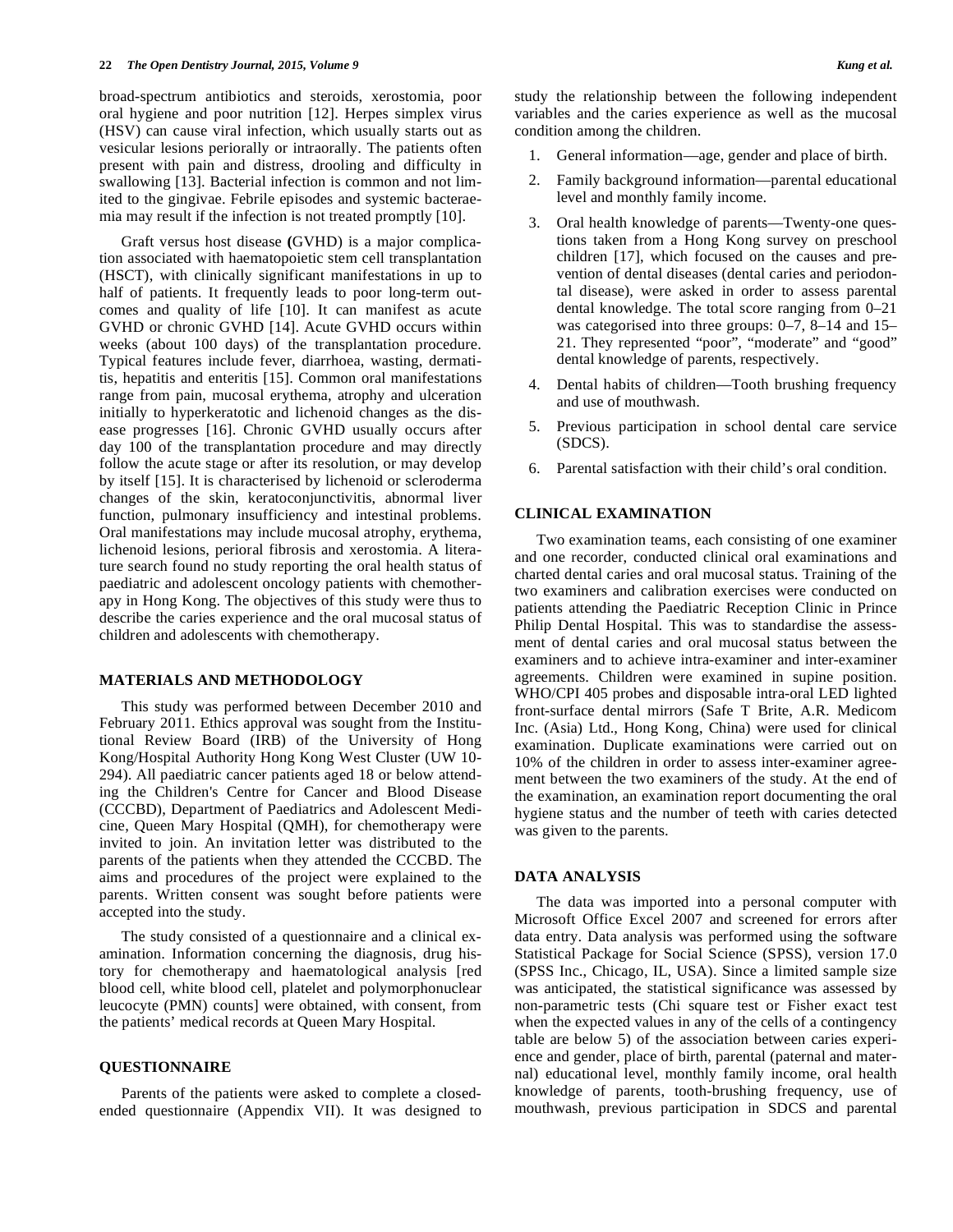broad-spectrum antibiotics and steroids, xerostomia, poor oral hygiene and poor nutrition [12]. Herpes simplex virus (HSV) can cause viral infection, which usually starts out as vesicular lesions periorally or intraorally. The patients often present with pain and distress, drooling and difficulty in swallowing [13]. Bacterial infection is common and not limited to the gingivae. Febrile episodes and systemic bacteraemia may result if the infection is not treated promptly [10].

Graft versus host disease **(**GVHD) is a major complication associated with haematopoietic stem cell transplantation (HSCT), with clinically significant manifestations in up to half of patients. It frequently leads to poor long-term outcomes and quality of life [10]. It can manifest as acute GVHD or chronic GVHD [14]. Acute GVHD occurs within weeks (about 100 days) of the transplantation procedure. Typical features include fever, diarrhoea, wasting, dermatitis, hepatitis and enteritis [15]. Common oral manifestations range from pain, mucosal erythema, atrophy and ulceration initially to hyperkeratotic and lichenoid changes as the disease progresses [16]. Chronic GVHD usually occurs after day 100 of the transplantation procedure and may directly follow the acute stage or after its resolution, or may develop by itself [15]. It is characterised by lichenoid or scleroderma changes of the skin, keratoconjunctivitis, abnormal liver function, pulmonary insufficiency and intestinal problems. Oral manifestations may include mucosal atrophy, erythema, lichenoid lesions, perioral fibrosis and xerostomia. A literature search found no study reporting the oral health status of paediatric and adolescent oncology patients with chemotherapy in Hong Kong. The objectives of this study were thus to describe the caries experience and the oral mucosal status of children and adolescents with chemotherapy.

## **MATERIALS AND METHODOLOGY**

This study was performed between December 2010 and February 2011. Ethics approval was sought from the Institutional Review Board (IRB) of the University of Hong Kong/Hospital Authority Hong Kong West Cluster (UW 10- 294). All paediatric cancer patients aged 18 or below attending the Children's Centre for Cancer and Blood Disease (CCCBD), Department of Paediatrics and Adolescent Medicine, Queen Mary Hospital (QMH), for chemotherapy were invited to join. An invitation letter was distributed to the parents of the patients when they attended the CCCBD. The aims and procedures of the project were explained to the parents. Written consent was sought before patients were accepted into the study.

The study consisted of a questionnaire and a clinical examination. Information concerning the diagnosis, drug history for chemotherapy and haematological analysis [red blood cell, white blood cell, platelet and polymorphonuclear leucocyte (PMN) counts] were obtained, with consent, from the patients' medical records at Queen Mary Hospital.

## **QUESTIONNAIRE**

Parents of the patients were asked to complete a closedended questionnaire (Appendix VII). It was designed to study the relationship between the following independent variables and the caries experience as well as the mucosal condition among the children.

- 1. General information—age, gender and place of birth.
- 2. Family background information—parental educational level and monthly family income.
- 3. Oral health knowledge of parents—Twenty-one questions taken from a Hong Kong survey on preschool children [17], which focused on the causes and prevention of dental diseases (dental caries and periodontal disease), were asked in order to assess parental dental knowledge. The total score ranging from 0–21 was categorised into three groups: 0–7, 8–14 and 15– 21. They represented "poor", "moderate" and "good" dental knowledge of parents, respectively.
- 4. Dental habits of children—Tooth brushing frequency and use of mouthwash.
- 5. Previous participation in school dental care service (SDCS).
- 6. Parental satisfaction with their child's oral condition.

## **CLINICAL EXAMINATION**

Two examination teams, each consisting of one examiner and one recorder, conducted clinical oral examinations and charted dental caries and oral mucosal status. Training of the two examiners and calibration exercises were conducted on patients attending the Paediatric Reception Clinic in Prince Philip Dental Hospital. This was to standardise the assessment of dental caries and oral mucosal status between the examiners and to achieve intra-examiner and inter-examiner agreements. Children were examined in supine position. WHO/CPI 405 probes and disposable intra-oral LED lighted front-surface dental mirrors (Safe T Brite, A.R. Medicom Inc. (Asia) Ltd., Hong Kong, China) were used for clinical examination. Duplicate examinations were carried out on 10% of the children in order to assess inter-examiner agreement between the two examiners of the study. At the end of the examination, an examination report documenting the oral hygiene status and the number of teeth with caries detected was given to the parents.

## **DATA ANALYSIS**

The data was imported into a personal computer with Microsoft Office Excel 2007 and screened for errors after data entry. Data analysis was performed using the software Statistical Package for Social Science (SPSS), version 17.0 (SPSS Inc., Chicago, IL, USA). Since a limited sample size was anticipated, the statistical significance was assessed by non-parametric tests (Chi square test or Fisher exact test when the expected values in any of the cells of a contingency table are below 5) of the association between caries experience and gender, place of birth, parental (paternal and maternal) educational level, monthly family income, oral health knowledge of parents, tooth-brushing frequency, use of mouthwash, previous participation in SDCS and parental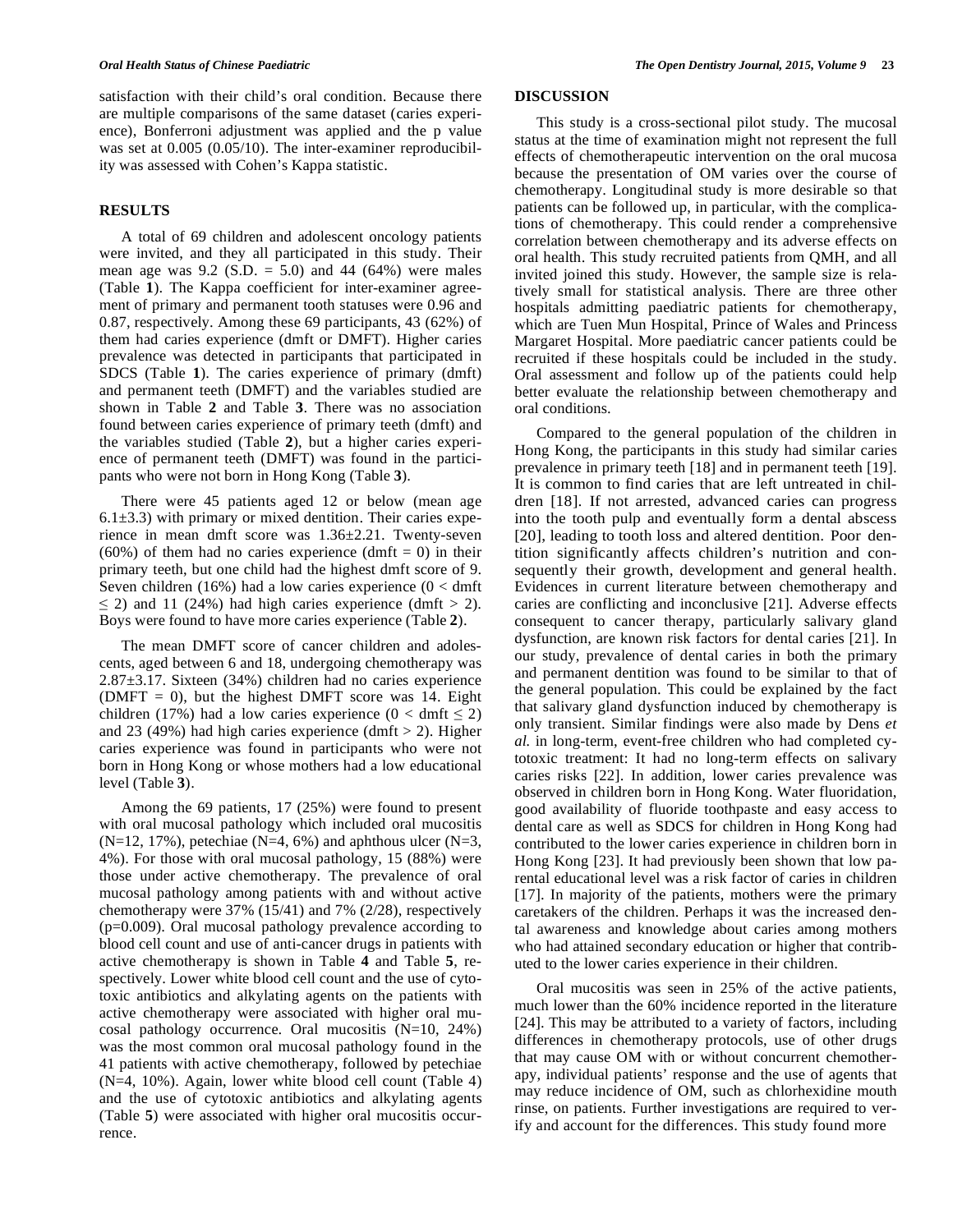satisfaction with their child's oral condition. Because there are multiple comparisons of the same dataset (caries experience), Bonferroni adjustment was applied and the p value was set at 0.005 (0.05/10). The inter-examiner reproducibility was assessed with Cohen's Kappa statistic.

## **RESULTS**

A total of 69 children and adolescent oncology patients were invited, and they all participated in this study. Their mean age was  $9.2$  (S.D. = 5.0) and 44 (64%) were males (Table **1**). The Kappa coefficient for inter-examiner agreement of primary and permanent tooth statuses were 0.96 and 0.87, respectively. Among these 69 participants, 43 (62%) of them had caries experience (dmft or DMFT). Higher caries prevalence was detected in participants that participated in SDCS (Table **1**). The caries experience of primary (dmft) and permanent teeth (DMFT) and the variables studied are shown in Table **2** and Table **3**. There was no association found between caries experience of primary teeth (dmft) and the variables studied (Table **2**), but a higher caries experience of permanent teeth (DMFT) was found in the participants who were not born in Hong Kong (Table **3**).

There were 45 patients aged 12 or below (mean age  $6.1\pm3.3$ ) with primary or mixed dentition. Their caries experience in mean dmft score was 1.36±2.21. Twenty-seven  $(60\%)$  of them had no caries experience  $(dmft = 0)$  in their primary teeth, but one child had the highest dmft score of 9. Seven children (16%) had a low caries experience ( $0 < \text{dmft}$ )  $\leq$  2) and 11 (24%) had high caries experience (dmft  $>$  2). Boys were found to have more caries experience (Table **2**).

The mean DMFT score of cancer children and adolescents, aged between 6 and 18, undergoing chemotherapy was 2.87±3.17. Sixteen (34%) children had no caries experience (DMFT = 0), but the highest DMFT score was 14. Eight children (17%) had a low caries experience ( $0 < \text{dmft} \leq 2$ ) and 23 (49%) had high caries experience (dmft  $> 2$ ). Higher caries experience was found in participants who were not born in Hong Kong or whose mothers had a low educational level (Table **3**).

Among the 69 patients, 17 (25%) were found to present with oral mucosal pathology which included oral mucositis  $(N=12, 17\%)$ , petechiae  $(N=4, 6\%)$  and aphthous ulcer  $(N=3, 17\%)$ 4%). For those with oral mucosal pathology, 15 (88%) were those under active chemotherapy. The prevalence of oral mucosal pathology among patients with and without active chemotherapy were 37% (15/41) and 7% (2/28), respectively (p=0.009). Oral mucosal pathology prevalence according to blood cell count and use of anti-cancer drugs in patients with active chemotherapy is shown in Table **4** and Table **5**, respectively. Lower white blood cell count and the use of cytotoxic antibiotics and alkylating agents on the patients with active chemotherapy were associated with higher oral mucosal pathology occurrence. Oral mucositis (N=10, 24%) was the most common oral mucosal pathology found in the 41 patients with active chemotherapy, followed by petechiae (N=4, 10%). Again, lower white blood cell count (Table 4) and the use of cytotoxic antibiotics and alkylating agents (Table **5**) were associated with higher oral mucositis occurrence.

## **DISCUSSION**

This study is a cross-sectional pilot study. The mucosal status at the time of examination might not represent the full effects of chemotherapeutic intervention on the oral mucosa because the presentation of OM varies over the course of chemotherapy. Longitudinal study is more desirable so that patients can be followed up, in particular, with the complications of chemotherapy. This could render a comprehensive correlation between chemotherapy and its adverse effects on oral health. This study recruited patients from QMH, and all invited joined this study. However, the sample size is relatively small for statistical analysis. There are three other hospitals admitting paediatric patients for chemotherapy, which are Tuen Mun Hospital, Prince of Wales and Princess Margaret Hospital. More paediatric cancer patients could be recruited if these hospitals could be included in the study. Oral assessment and follow up of the patients could help better evaluate the relationship between chemotherapy and oral conditions.

Compared to the general population of the children in Hong Kong, the participants in this study had similar caries prevalence in primary teeth [18] and in permanent teeth [19]. It is common to find caries that are left untreated in children [18]. If not arrested, advanced caries can progress into the tooth pulp and eventually form a dental abscess [20], leading to tooth loss and altered dentition. Poor dentition significantly affects children's nutrition and consequently their growth, development and general health. Evidences in current literature between chemotherapy and caries are conflicting and inconclusive [21]. Adverse effects consequent to cancer therapy, particularly salivary gland dysfunction, are known risk factors for dental caries [21]. In our study, prevalence of dental caries in both the primary and permanent dentition was found to be similar to that of the general population. This could be explained by the fact that salivary gland dysfunction induced by chemotherapy is only transient. Similar findings were also made by Dens *et al.* in long-term, event-free children who had completed cytotoxic treatment: It had no long-term effects on salivary caries risks [22]. In addition, lower caries prevalence was observed in children born in Hong Kong. Water fluoridation, good availability of fluoride toothpaste and easy access to dental care as well as SDCS for children in Hong Kong had contributed to the lower caries experience in children born in Hong Kong [23]. It had previously been shown that low parental educational level was a risk factor of caries in children [17]. In majority of the patients, mothers were the primary caretakers of the children. Perhaps it was the increased dental awareness and knowledge about caries among mothers who had attained secondary education or higher that contributed to the lower caries experience in their children.

Oral mucositis was seen in 25% of the active patients, much lower than the 60% incidence reported in the literature [24]. This may be attributed to a variety of factors, including differences in chemotherapy protocols, use of other drugs that may cause OM with or without concurrent chemotherapy, individual patients' response and the use of agents that may reduce incidence of OM, such as chlorhexidine mouth rinse, on patients. Further investigations are required to verify and account for the differences. This study found more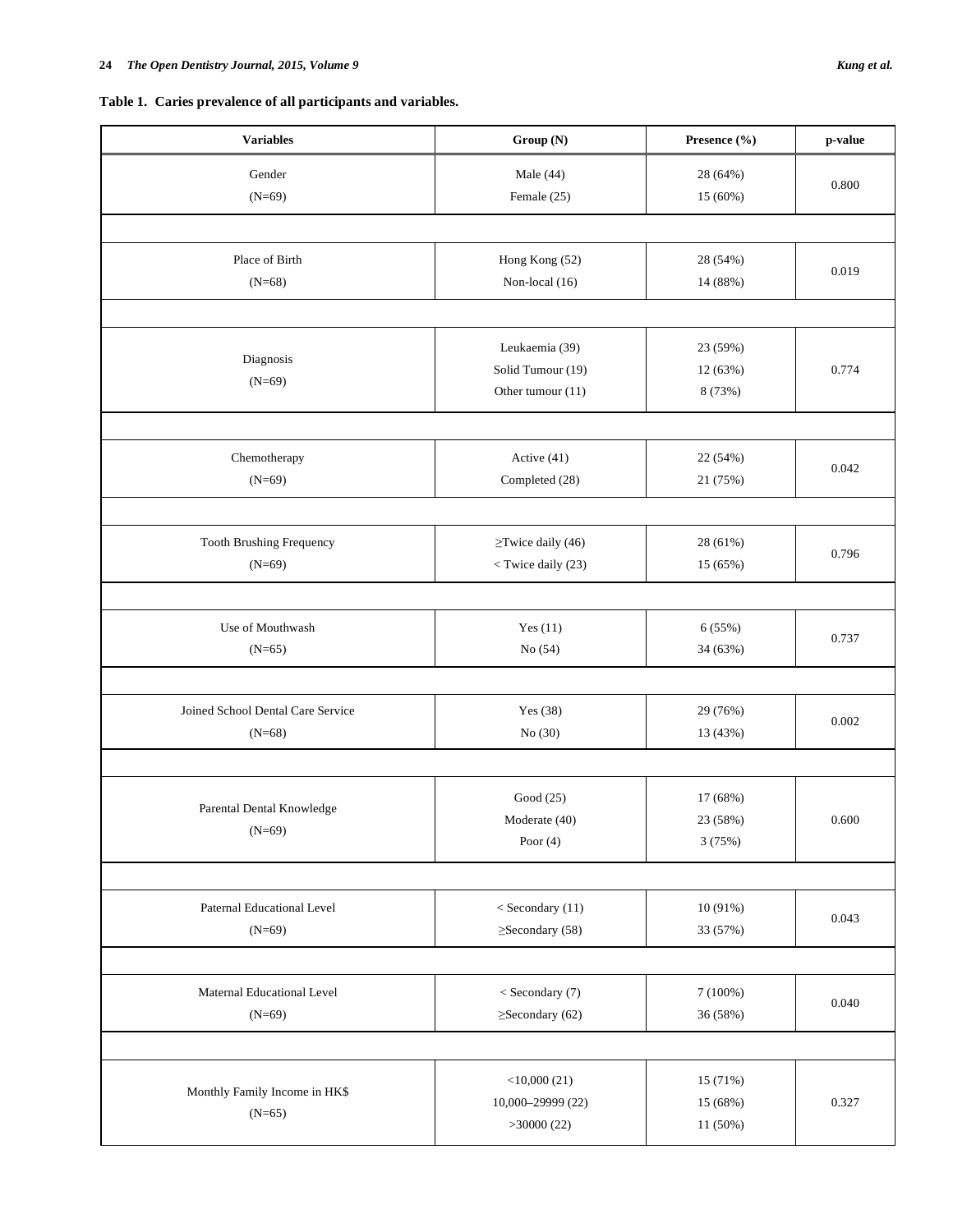**Table 1. Caries prevalence of all participants and variables.** 

| <b>Variables</b>                              | Group (N)                                                                                                     | Presence (%)                     | p-value |
|-----------------------------------------------|---------------------------------------------------------------------------------------------------------------|----------------------------------|---------|
| Gender<br>$(N=69)$                            | Male $(44)$<br>Female (25)                                                                                    | 28 (64%)<br>15 (60%)             | 0.800   |
| Place of Birth<br>$(N=68)$                    | Hong Kong (52)<br>Non-local (16)                                                                              | 28 (54%)<br>14 (88%)             | 0.019   |
|                                               |                                                                                                               |                                  |         |
| Diagnosis<br>$(N=69)$                         | Leukaemia (39)<br>Solid Tumour (19)<br>Other tumour (11)                                                      | 23 (59%)<br>12 (63%)<br>8 (73%)  | 0.774   |
|                                               |                                                                                                               |                                  |         |
| Chemotherapy<br>$(N=69)$                      | Active (41)<br>Completed (28)                                                                                 | 22 (54%)<br>21 (75%)             | 0.042   |
|                                               |                                                                                                               |                                  |         |
| Tooth Brushing Frequency<br>$(N=69)$          | $\ge$ Twice daily (46)<br><twice (23)<="" daily="" td=""><td>28 (61%)<br/>15 (65%)</td><td>0.796</td></twice> | 28 (61%)<br>15 (65%)             | 0.796   |
|                                               |                                                                                                               |                                  |         |
| Use of Mouthwash<br>$(N=65)$                  | Yes $(11)$<br>No(54)                                                                                          | 6(55%)<br>34 (63%)               | 0.737   |
| Joined School Dental Care Service<br>$(N=68)$ | Yes (38)<br>No (30)                                                                                           | 29 (76%)<br>13 (43%)             | 0.002   |
|                                               |                                                                                                               |                                  |         |
| Parental Dental Knowledge<br>$(N=69)$         | Good (25)<br>Moderate (40)<br>Poor $(4)$                                                                      | 17 (68%)<br>23(58%)<br>3(75%)    | 0.600   |
|                                               |                                                                                                               |                                  |         |
| Paternal Educational Level<br>$(N=69)$        | $<$ Secondary (11)<br>$\geq$ Secondary (58)                                                                   | 10 (91%)<br>33 (57%)             | 0.043   |
|                                               |                                                                                                               |                                  |         |
| Maternal Educational Level<br>$(N=69)$        | < Secondary (7)<br>$\geq$ Secondary (62)                                                                      | 7(100%)<br>36 (58%)              | 0.040   |
|                                               |                                                                                                               |                                  |         |
| Monthly Family Income in HK\$<br>$(N=65)$     | $<$ 10,000 $(21)$<br>10,000-29999 (22)<br>>30000(22)                                                          | 15 (71%)<br>15 (68%)<br>11 (50%) | 0.327   |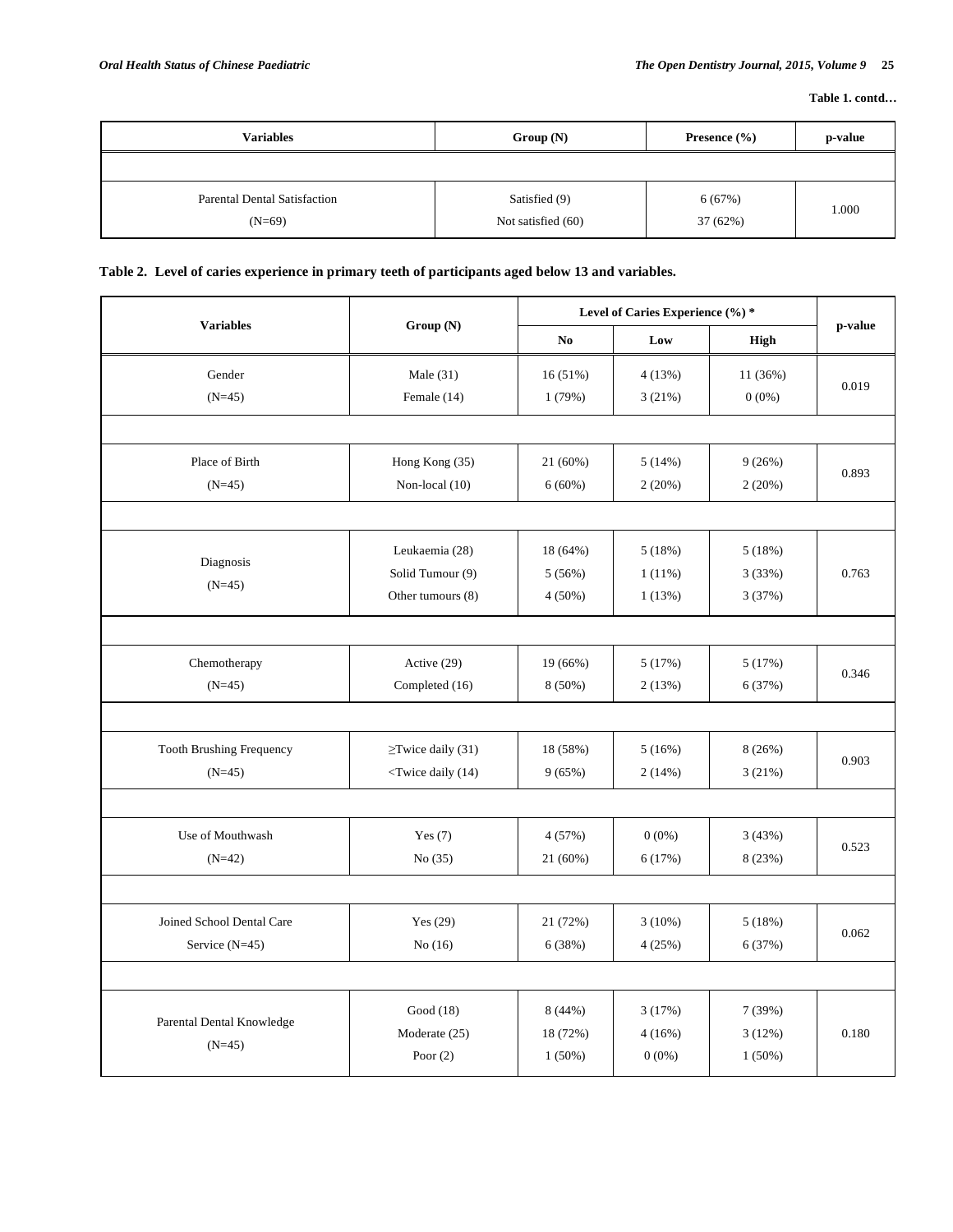| <b>Variables</b>                                | Group(N)                            | Presence $(\% )$   | p-value |
|-------------------------------------------------|-------------------------------------|--------------------|---------|
|                                                 |                                     |                    |         |
| <b>Parental Dental Satisfaction</b><br>$(N=69)$ | Satisfied (9)<br>Not satisfied (60) | 6(67%)<br>37 (62%) | 1.000   |

## **Table 2. Level of caries experience in primary teeth of participants aged below 13 and variables.**

|                                 |                                                                                               |                | Level of Caries Experience (%) * |           |         |  |
|---------------------------------|-----------------------------------------------------------------------------------------------|----------------|----------------------------------|-----------|---------|--|
| <b>Variables</b>                | Group (N)                                                                                     | N <sub>0</sub> | Low                              | High      | p-value |  |
| Gender                          | Male $(31)$                                                                                   | 16 (51%)       | 4(13%)                           | 11 (36%)  |         |  |
| $(N=45)$                        | Female (14)                                                                                   | 1(79%)         | 3(21%)                           | $0(0\%)$  | 0.019   |  |
|                                 |                                                                                               |                |                                  |           |         |  |
| Place of Birth                  | Hong Kong (35)                                                                                | 21 (60%)       | 5(14%)                           | 9(26%)    | 0.893   |  |
| $(N=45)$                        | Non-local (10)                                                                                | 6(60%)         | 2(20%)                           | 2(20%)    |         |  |
|                                 |                                                                                               |                |                                  |           |         |  |
|                                 | Leukaemia (28)                                                                                | 18 (64%)       | 5(18%)                           | 5(18%)    |         |  |
| Diagnosis                       | Solid Tumour (9)                                                                              | 5(56%)         | $1(11\%)$                        | 3(33%)    | 0.763   |  |
| $(N=45)$                        | Other tumours (8)                                                                             | $4(50\%)$      | 1(13%)                           | 3(37%)    |         |  |
|                                 |                                                                                               |                |                                  |           |         |  |
| Chemotherapy                    | Active (29)                                                                                   | 19 (66%)       | 5(17%)                           | 5(17%)    | 0.346   |  |
| $(N=45)$                        | Completed (16)                                                                                | $8(50\%)$      | 2(13%)                           | 6 (37%)   |         |  |
|                                 |                                                                                               |                |                                  |           |         |  |
| <b>Tooth Brushing Frequency</b> | $\ge$ Twice daily (31)                                                                        | 18 (58%)       | 5(16%)                           | 8(26%)    | 0.903   |  |
| $(N=45)$                        | <twice (14)<="" daily="" td=""><td>9(65%)</td><td>2(14%)</td><td>3(21%)</td><td></td></twice> | 9(65%)         | 2(14%)                           | 3(21%)    |         |  |
|                                 |                                                                                               |                |                                  |           |         |  |
| Use of Mouthwash                | Yes $(7)$                                                                                     | 4(57%)         | $0(0\%)$                         | 3(43%)    | 0.523   |  |
| $(N=42)$                        | No $(35)$                                                                                     | 21 (60%)       | 6(17%)                           | 8 (23%)   |         |  |
|                                 |                                                                                               |                |                                  |           |         |  |
| Joined School Dental Care       | Yes $(29)$                                                                                    | 21 (72%)       | 3(10%)                           | 5(18%)    | 0.062   |  |
| Service $(N=45)$                | No(16)                                                                                        | 6 (38%)        | 4(25%)                           | 6(37%)    |         |  |
|                                 |                                                                                               |                |                                  |           |         |  |
|                                 | Good (18)                                                                                     | 8(44%)         | 3(17%)                           | 7(39%)    |         |  |
| Parental Dental Knowledge       | Moderate (25)                                                                                 | 18 (72%)       | 4(16%)                           | 3(12%)    | 0.180   |  |
| $(N=45)$                        | Poor $(2)$                                                                                    | $1(50\%)$      | $0(0\%)$                         | $1(50\%)$ |         |  |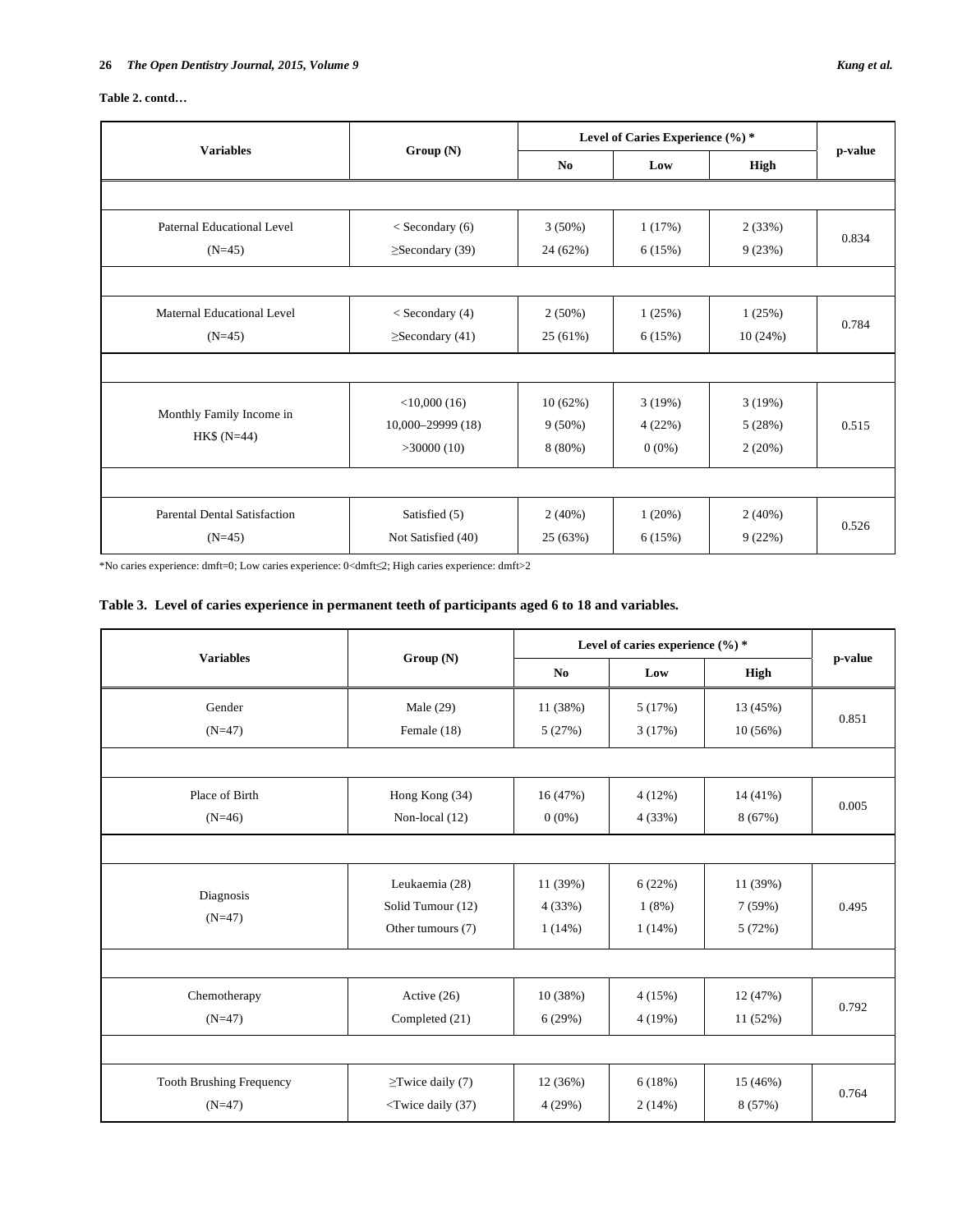| <b>Variables</b>                    |                       | Level of Caries Experience (%) * |             |           |         |  |
|-------------------------------------|-----------------------|----------------------------------|-------------|-----------|---------|--|
|                                     | Group(N)              | No                               | High<br>Low |           | p-value |  |
|                                     |                       |                                  |             |           |         |  |
| Paternal Educational Level          | $<$ Secondary (6)     | $3(50\%)$                        | 1(17%)      | 2(33%)    | 0.834   |  |
| $(N=45)$                            | $\geq$ Secondary (39) | 24 (62%)                         | 6(15%)      | 9(23%)    |         |  |
|                                     |                       |                                  |             |           |         |  |
| Maternal Educational Level          | $<$ Secondary (4)     | $2(50\%)$                        | 1(25%)      | 1(25%)    |         |  |
| $(N=45)$                            | $\geq$ Secondary (41) | 25 (61%)                         | 6(15%)      | 10(24%)   | 0.784   |  |
|                                     |                       |                                  |             |           |         |  |
|                                     | $<$ 10,000 (16)       | 10(62%)                          | 3(19%)      | 3(19%)    |         |  |
| Monthly Family Income in            | $10,000 - 29999(18)$  | $9(50\%)$                        | 4(22%)      | 5(28%)    | 0.515   |  |
| $HK$ (N=44)$                        | >30000(10)            | $8(80\%)$                        | $0(0\%)$    | 2(20%)    |         |  |
|                                     |                       |                                  |             |           |         |  |
| <b>Parental Dental Satisfaction</b> | Satisfied (5)         | $2(40\%)$                        | 1(20%)      | $2(40\%)$ | 0.526   |  |
| $(N=45)$                            | Not Satisfied (40)    | 25 (63%)                         | 6(15%)      | 9(22%)    |         |  |

\*No caries experience: dmft=0; Low caries experience: 0<dmft2; High caries experience: dmft>2

## **Table 3. Level of caries experience in permanent teeth of participants aged 6 to 18 and variables.**

|                                 |                                                                                                     | Level of caries experience $(\%)^*$ |        |             |         |
|---------------------------------|-----------------------------------------------------------------------------------------------------|-------------------------------------|--------|-------------|---------|
| <b>Variables</b>                | Group(N)                                                                                            | N <sub>0</sub>                      | Low    | <b>High</b> | p-value |
| Gender                          | Male $(29)$                                                                                         | 11 (38%)                            | 5(17%) | 13 (45%)    |         |
| $(N=47)$                        | Female (18)                                                                                         | 5(27%)                              | 3(17%) | 10(56%)     | 0.851   |
|                                 |                                                                                                     |                                     |        |             |         |
| Place of Birth                  | Hong Kong (34)                                                                                      | 16 (47%)                            | 4(12%) | 14 (41%)    | 0.005   |
| $(N=46)$                        | Non-local (12)                                                                                      | $0(0\%)$                            | 4(33%) | 8(67%)      |         |
|                                 |                                                                                                     |                                     |        |             |         |
|                                 | Leukaemia (28)                                                                                      | 11 (39%)                            | 6(22%) | 11 (39%)    |         |
| Diagnosis                       | Solid Tumour (12)                                                                                   | 4(33%)                              | 1(8%)  | 7(59%)      | 0.495   |
| $(N=47)$                        | Other tumours (7)                                                                                   | 1(14%)                              | 1(14%) | 5(72%)      |         |
|                                 |                                                                                                     |                                     |        |             |         |
| Chemotherapy                    | Active (26)                                                                                         | 10 (38%)                            | 4(15%) | 12 (47%)    | 0.792   |
| $(N=47)$                        | Completed (21)                                                                                      | 6(29%)                              | 4(19%) | 11 (52%)    |         |
|                                 |                                                                                                     |                                     |        |             |         |
| <b>Tooth Brushing Frequency</b> | $\ge$ Twice daily (7)                                                                               | 12 (36%)                            | 6(18%) | 15 (46%)    |         |
| $(N=47)$                        | <twice (37)<="" daily="" td=""><td>4(29%)</td><td>2(14%)</td><td>8 (57%)</td><td>0.764</td></twice> | 4(29%)                              | 2(14%) | 8 (57%)     | 0.764   |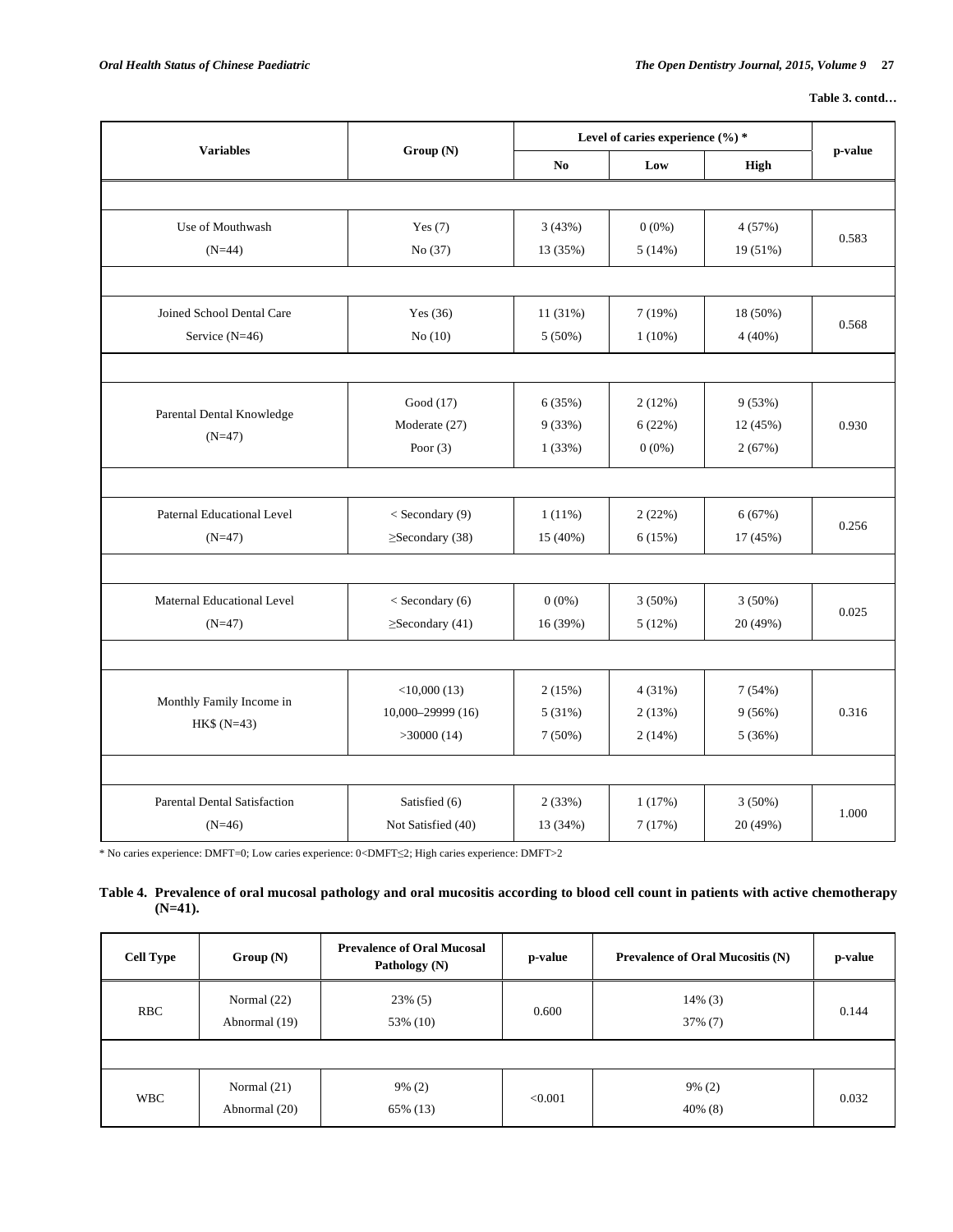|                                          |                       |                | Level of caries experience (%) * |             |         |  |
|------------------------------------------|-----------------------|----------------|----------------------------------|-------------|---------|--|
| <b>Variables</b>                         | Group (N)             | N <sub>o</sub> | Low                              | <b>High</b> | p-value |  |
|                                          |                       |                |                                  |             |         |  |
| Use of Mouthwash                         | Yes $(7)$             | 3(43%)         | $0(0\%)$                         | 4 (57%)     |         |  |
| $(N=44)$                                 | No (37)               | 13 (35%)       | 5(14%)                           | 19 (51%)    | 0.583   |  |
|                                          |                       |                |                                  |             |         |  |
| Joined School Dental Care                | Yes $(36)$            | 11 (31%)       | 7(19%)                           | 18 (50%)    |         |  |
| Service (N=46)                           | No $(10)$             | $5(50\%)$      | $1(10\%)$                        | 4(40%)      | 0.568   |  |
|                                          |                       |                |                                  |             |         |  |
|                                          | Good (17)             | 6(35%)         | 2(12%)                           | 9(53%)      |         |  |
| Parental Dental Knowledge<br>$(N=47)$    | Moderate (27)         | 9(33%)         | 6(22%)                           | 12 (45%)    | 0.930   |  |
|                                          | Poor $(3)$            | 1(33%)         | $0(0\%)$                         | 2(67%)      |         |  |
|                                          |                       |                |                                  |             |         |  |
| Paternal Educational Level               | $<$ Secondary (9)     | $1(11\%)$      | 2(22%)                           | 6(67%)      | 0.256   |  |
| $(N=47)$                                 | $\geq$ Secondary (38) | 15 (40%)       | 6(15%)                           | 17 (45%)    |         |  |
|                                          |                       |                |                                  |             |         |  |
| Maternal Educational Level               | < Secondary (6)       | $0(0\%)$       | $3(50\%)$                        | $3(50\%)$   |         |  |
| $(N=47)$                                 | $\geq$ Secondary (41) | 16 (39%)       | 5(12%)                           | 20 (49%)    | 0.025   |  |
|                                          |                       |                |                                  |             |         |  |
|                                          | $<$ 10,000 (13)       | 2(15%)         | 4(31%)                           | 7(54%)      |         |  |
| Monthly Family Income in<br>$HK$ (N=43)$ | 10,000-29999 (16)     | 5(31%)         | 2(13%)                           | 9(56%)      | 0.316   |  |
|                                          | >30000(14)            | $7(50\%)$      | 2(14%)                           | 5 (36%)     |         |  |
|                                          |                       |                |                                  |             |         |  |
| <b>Parental Dental Satisfaction</b>      | Satisfied (6)         | 2(33%)         | 1(17%)                           | $3(50\%)$   |         |  |
| $(N=46)$                                 | Not Satisfied (40)    | 13 (34%)       | 7(17%)                           | 20 (49%)    | 1.000   |  |

 $^*$  No caries experience: DMFT=0; Low caries experience: 0<DMFT $\leq$ 2; High caries experience: DMFT>2

## **Table 4. Prevalence of oral mucosal pathology and oral mucositis according to blood cell count in patients with active chemotherapy (N=41).**

| <b>Cell Type</b> | Group(N)                       | <b>Prevalence of Oral Mucosal</b><br>Pathology (N) | p-value | <b>Prevalence of Oral Mucositis (N)</b> | p-value |
|------------------|--------------------------------|----------------------------------------------------|---------|-----------------------------------------|---------|
| <b>RBC</b>       | Normal $(22)$<br>Abnormal (19) | $23\%$ (5)<br>53% (10)                             | 0.600   | $14\%$ (3)<br>$37\%$ (7)                | 0.144   |
|                  |                                |                                                    |         |                                         |         |
| <b>WBC</b>       | Normal $(21)$<br>Abnormal (20) | $9\% (2)$<br>65% (13)                              | < 0.001 | $9\%$ (2)<br>$40\%$ (8)                 | 0.032   |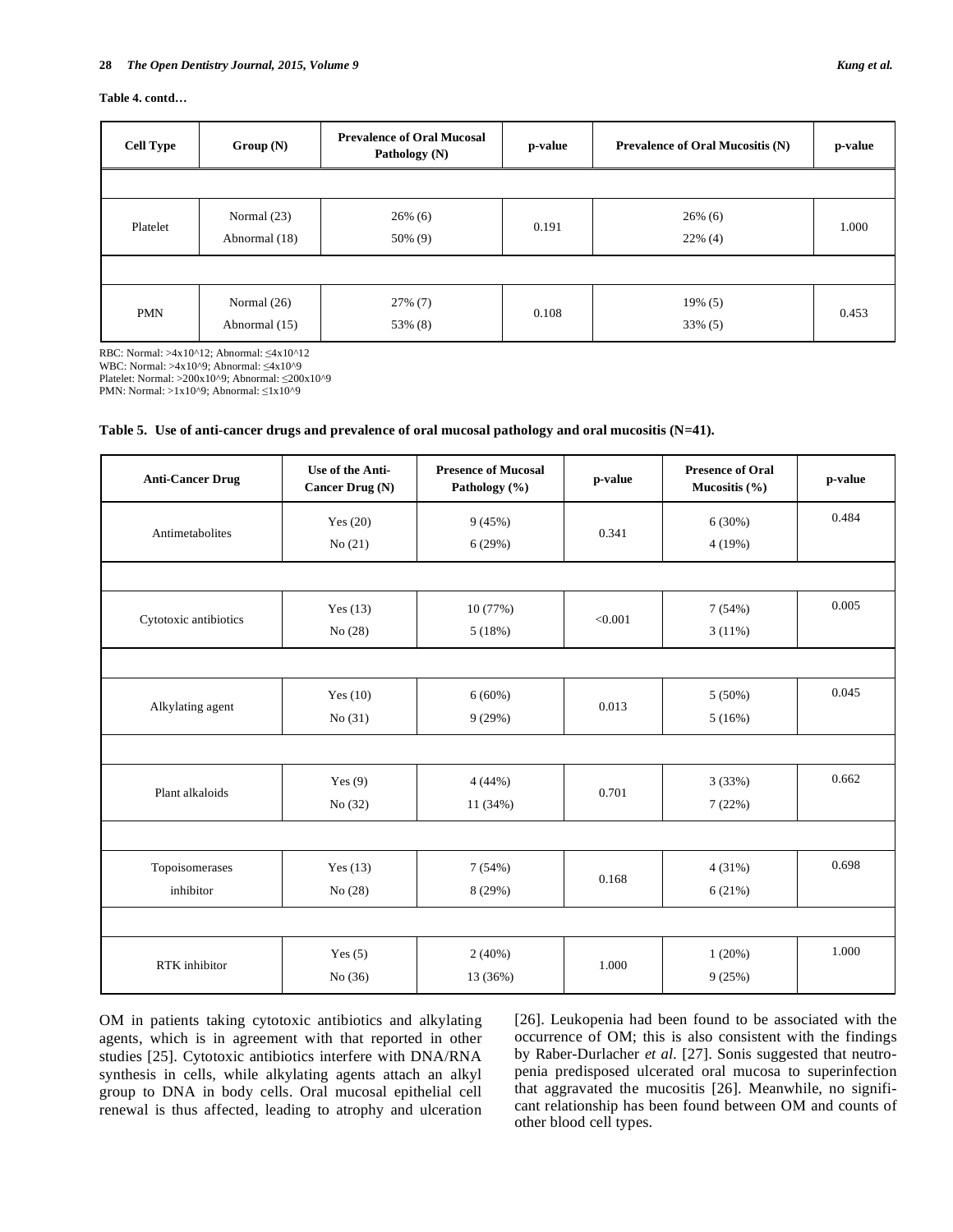### **Table 4. contd…**

| <b>Cell Type</b> | Group(N)                       | <b>Prevalence of Oral Mucosal</b><br>Pathology (N) | p-value | <b>Prevalence of Oral Mucositis (N)</b> | p-value |
|------------------|--------------------------------|----------------------------------------------------|---------|-----------------------------------------|---------|
|                  |                                |                                                    |         |                                         |         |
| Platelet         | Normal (23)<br>Abnormal (18)   | $26\%$ (6)<br>50% (9)                              | 0.191   | $26\%$ (6)<br>$22\%$ (4)                | 1.000   |
|                  |                                |                                                    |         |                                         |         |
| <b>PMN</b>       | Normal $(26)$<br>Abnormal (15) | $27\%$ (7)<br>53% (8)                              | 0.108   | 19% (5)<br>33% (5)                      | 0.453   |

RBC: Normal: >4x10^12; Abnormal:  $\leq 4x10$ ^12 WBC: Normal:  $>4x10^9$ ; Abnormal:  $\leq 4x10^9$ 

Platelet: Normal: >200x10^9; Abnormal: 200x10^9

PMN: Normal: >1x10^9; Abnormal:  $\leq 1x10^9$ 

| Table 5. Use of anti-cancer drugs and prevalence of oral mucosal pathology and oral mucositis (N=41). |  |  |  |  |  |  |  |  |  |
|-------------------------------------------------------------------------------------------------------|--|--|--|--|--|--|--|--|--|
|-------------------------------------------------------------------------------------------------------|--|--|--|--|--|--|--|--|--|

| <b>Anti-Cancer Drug</b>     | Use of the Anti-<br><b>Cancer Drug (N)</b> | <b>Presence of Mucosal</b><br>Pathology (%) | p-value | <b>Presence of Oral</b><br>Mucositis $(\% )$ | p-value |
|-----------------------------|--------------------------------------------|---------------------------------------------|---------|----------------------------------------------|---------|
| Antimetabolites             | Yes $(20)$<br>No(21)                       | 9(45%)<br>6(29%)                            | 0.341   | 6(30%)<br>4(19%)                             | 0.484   |
|                             |                                            |                                             |         |                                              |         |
| Cytotoxic antibiotics       | Yes $(13)$<br>No(28)                       | 10 (77%)<br>5(18%)                          | < 0.001 | 7(54%)<br>3(11%)                             | 0.005   |
|                             |                                            |                                             |         |                                              |         |
| Alkylating agent            | Yes $(10)$<br>No(31)                       | 6(60%)<br>9(29%)                            | 0.013   | $5(50\%)$<br>5(16%)                          | 0.045   |
|                             |                                            |                                             |         |                                              |         |
| Plant alkaloids             | Yes $(9)$<br>No $(32)$                     | 4(44%)<br>11 (34%)                          | 0.701   | 3(33%)<br>7(22%)                             | 0.662   |
|                             |                                            |                                             |         |                                              |         |
| Topoisomerases<br>inhibitor | Yes $(13)$<br>No(28)                       | 7(54%)<br>8(29%)                            | 0.168   | 4(31%)<br>6(21%)                             | 0.698   |
|                             |                                            |                                             |         |                                              |         |
| RTK inhibitor               | Yes $(5)$<br>No $(36)$                     | 2(40%)<br>13 (36%)                          | 1.000   | 1(20%)<br>9(25%)                             | 1.000   |

OM in patients taking cytotoxic antibiotics and alkylating agents, which is in agreement with that reported in other studies [25]. Cytotoxic antibiotics interfere with DNA/RNA synthesis in cells, while alkylating agents attach an alkyl group to DNA in body cells. Oral mucosal epithelial cell renewal is thus affected, leading to atrophy and ulceration [26]. Leukopenia had been found to be associated with the occurrence of OM; this is also consistent with the findings by Raber-Durlacher *et al.* [27]. Sonis suggested that neutropenia predisposed ulcerated oral mucosa to superinfection that aggravated the mucositis [26]. Meanwhile, no significant relationship has been found between OM and counts of other blood cell types.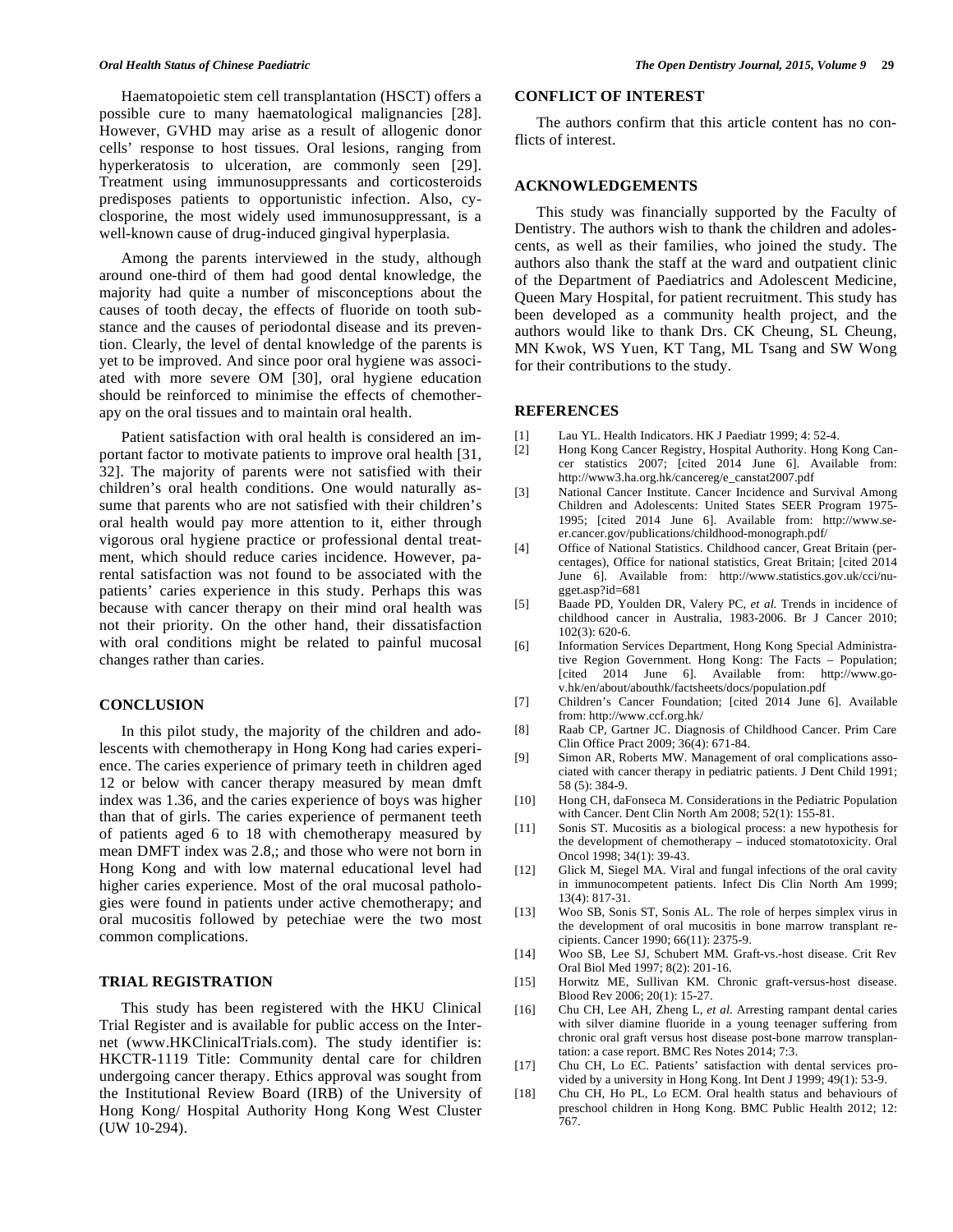Haematopoietic stem cell transplantation (HSCT) offers a possible cure to many haematological malignancies [28]. However, GVHD may arise as a result of allogenic donor cells' response to host tissues. Oral lesions, ranging from hyperkeratosis to ulceration, are commonly seen [29]. Treatment using immunosuppressants and corticosteroids predisposes patients to opportunistic infection. Also, cyclosporine, the most widely used immunosuppressant, is a well-known cause of drug-induced gingival hyperplasia.

Among the parents interviewed in the study, although around one-third of them had good dental knowledge, the majority had quite a number of misconceptions about the causes of tooth decay, the effects of fluoride on tooth substance and the causes of periodontal disease and its prevention. Clearly, the level of dental knowledge of the parents is yet to be improved. And since poor oral hygiene was associated with more severe OM [30], oral hygiene education should be reinforced to minimise the effects of chemotherapy on the oral tissues and to maintain oral health.

Patient satisfaction with oral health is considered an important factor to motivate patients to improve oral health [31, 32]. The majority of parents were not satisfied with their children's oral health conditions. One would naturally assume that parents who are not satisfied with their children's oral health would pay more attention to it, either through vigorous oral hygiene practice or professional dental treatment, which should reduce caries incidence. However, parental satisfaction was not found to be associated with the patients' caries experience in this study. Perhaps this was because with cancer therapy on their mind oral health was not their priority. On the other hand, their dissatisfaction with oral conditions might be related to painful mucosal changes rather than caries.

## **CONCLUSION**

In this pilot study, the majority of the children and adolescents with chemotherapy in Hong Kong had caries experience. The caries experience of primary teeth in children aged 12 or below with cancer therapy measured by mean dmft index was 1.36, and the caries experience of boys was higher than that of girls. The caries experience of permanent teeth of patients aged 6 to 18 with chemotherapy measured by mean DMFT index was 2.8,; and those who were not born in Hong Kong and with low maternal educational level had higher caries experience. Most of the oral mucosal pathologies were found in patients under active chemotherapy; and oral mucositis followed by petechiae were the two most common complications.

## **TRIAL REGISTRATION**

This study has been registered with the HKU Clinical Trial Register and is available for public access on the Internet (www.HKClinicalTrials.com). The study identifier is: HKCTR-1119 Title: Community dental care for children undergoing cancer therapy. Ethics approval was sought from the Institutional Review Board (IRB) of the University of Hong Kong/ Hospital Authority Hong Kong West Cluster (UW 10-294).

## **CONFLICT OF INTEREST**

The authors confirm that this article content has no conflicts of interest.

## **ACKNOWLEDGEMENTS**

This study was financially supported by the Faculty of Dentistry. The authors wish to thank the children and adolescents, as well as their families, who joined the study. The authors also thank the staff at the ward and outpatient clinic of the Department of Paediatrics and Adolescent Medicine, Queen Mary Hospital, for patient recruitment. This study has been developed as a community health project, and the authors would like to thank Drs. CK Cheung, SL Cheung, MN Kwok, WS Yuen, KT Tang, ML Tsang and SW Wong for their contributions to the study.

#### **REFERENCES**

- [1] Lau YL. Health Indicators. HK J Paediatr 1999; 4: 52-4.
- [2] Hong Kong Cancer Registry, Hospital Authority. Hong Kong Cancer statistics 2007; [cited 2014 June 6]. Available from: http://www3.ha.org.hk/cancereg/e\_canstat2007.pdf
- [3] National Cancer Institute. Cancer Incidence and Survival Among Children and Adolescents: United States SEER Program 1975- 1995; [cited 2014 June 6]. Available from: http://www.seer.cancer.gov/publications/childhood-monograph.pdf/
- [4] Office of National Statistics. Childhood cancer, Great Britain (percentages), Office for national statistics, Great Britain; [cited 2014 June 6]. Available from: http://www.statistics.gov.uk/cci/nugget.asp?id=681
- [5] Baade PD, Youlden DR, Valery PC, *et al.* Trends in incidence of childhood cancer in Australia, 1983-2006. Br J Cancer 2010; 102(3): 620-6.
- [6] Information Services Department, Hong Kong Special Administrative Region Government. Hong Kong: The Facts – Population; [cited 2014 June 6]. Available from: http://www.gov.hk/en/about/abouthk/factsheets/docs/population.pdf
- [7] Children's Cancer Foundation; [cited 2014 June 6]. Available from: http://www.ccf.org.hk/
- [8] Raab CP, Gartner JC. Diagnosis of Childhood Cancer. Prim Care Clin Office Pract 2009; 36(4): 671-84.
- [9] Simon AR, Roberts MW. Management of oral complications associated with cancer therapy in pediatric patients. J Dent Child 1991; 58 (5): 384-9.
- [10] Hong CH, daFonseca M. Considerations in the Pediatric Population with Cancer. Dent Clin North Am 2008; 52(1): 155-81.
- [11] Sonis ST. Mucositis as a biological process: a new hypothesis for the development of chemotherapy – induced stomatotoxicity. Oral Oncol 1998; 34(1): 39-43.
- [12] Glick M, Siegel MA. Viral and fungal infections of the oral cavity in immunocompetent patients. Infect Dis Clin North Am 1999; 13(4): 817-31.
- [13] Woo SB, Sonis ST, Sonis AL. The role of herpes simplex virus in the development of oral mucositis in bone marrow transplant recipients. Cancer 1990; 66(11): 2375-9.
- [14] Woo SB, Lee SJ, Schubert MM. Graft-vs.-host disease. Crit Rev Oral Biol Med 1997; 8(2): 201-16.
- [15] Horwitz ME, Sullivan KM. Chronic graft-versus-host disease. Blood Rev 2006; 20(1): 15-27.
- [16] Chu CH, Lee AH, Zheng L, *et al*. Arresting rampant dental caries with silver diamine fluoride in a young teenager suffering from chronic oral graft versus host disease post-bone marrow transplantation: a case report. BMC Res Notes 2014; 7:3.
- [17] Chu CH, Lo EC. Patients' satisfaction with dental services provided by a university in Hong Kong. Int Dent J 1999; 49(1): 53-9.
- [18] Chu CH, Ho PL, Lo ECM. Oral health status and behaviours of preschool children in Hong Kong. BMC Public Health 2012; 12: 767.